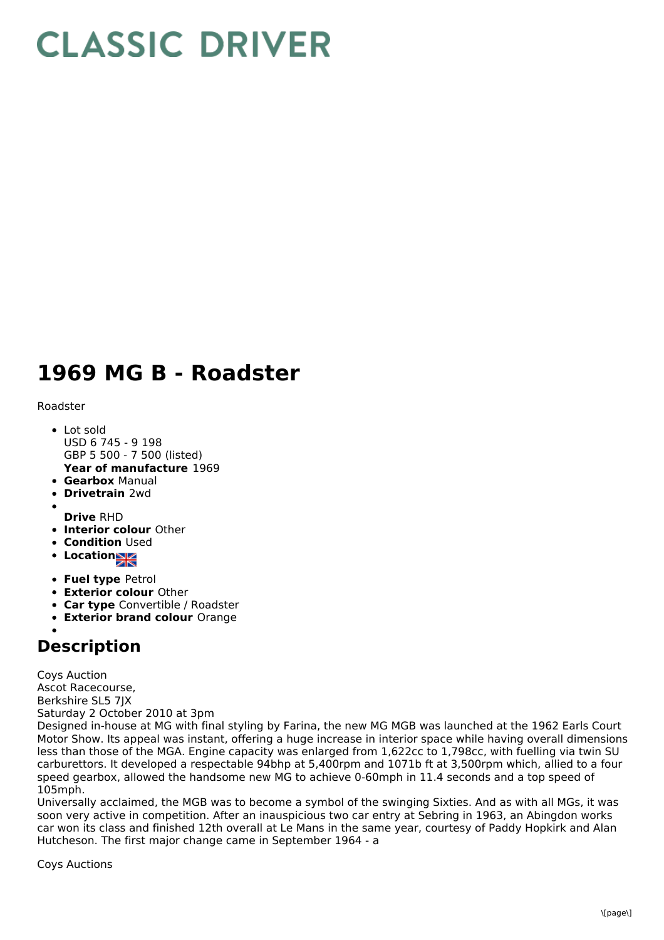## **CLASSIC DRIVER**

## **1969 MG B - Roadster**

Roadster

- **Year of manufacture** 1969 • Lot sold USD 6 745 - 9 198 GBP 5 500 - 7 500 (listed)
- **Gearbox** Manual
- **Drivetrain** 2wd
- 
- **Drive** RHD
- **Interior colour** Other
- **Condition Used**
- **Location**
- **Fuel type** Petrol
- **Exterior colour** Other
- **Car type** Convertible / Roadster
- **Exterior brand colour** Orange

## **Description**

Coys Auction Ascot Racecourse, Berkshire SL5 7JX Saturday 2 October 2010 at 3pm

Designed in-house at MG with final styling by Farina, the new MG MGB was launched at the 1962 Earls Court Motor Show. Its appeal was instant, offering a huge increase in interior space while having overall dimensions less than those of the MGA. Engine capacity was enlarged from 1,622cc to 1,798cc, with fuelling via twin SU carburettors. It developed a respectable 94bhp at 5,400rpm and 1071b ft at 3,500rpm which, allied to a four speed gearbox, allowed the handsome new MG to achieve 0-60mph in 11.4 seconds and a top speed of 105mph.

Universally acclaimed, the MGB was to become a symbol of the swinging Sixties. And as with all MGs, it was soon very active in competition. After an inauspicious two car entry at Sebring in 1963, an Abingdon works car won its class and finished 12th overall at Le Mans in the same year, courtesy of Paddy Hopkirk and Alan Hutcheson. The first major change came in September 1964 - a

Coys Auctions